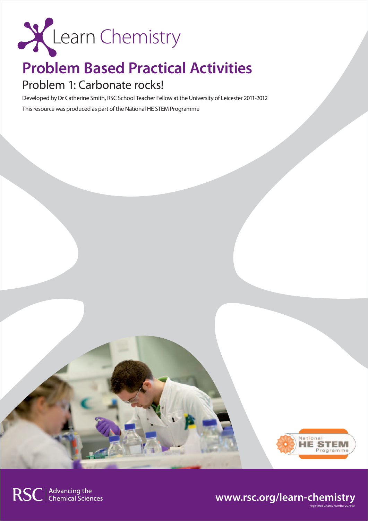

## **Problem Based Practical Activities**

### Problem 1: Carbonate rocks!

Developed by Dr Catherine Smith, RSC School Teacher Fellow at the University of Leicester 2011-2012 This resource was produced as part of the National HE STEM Programme



Registered Charity Number 207890

### **www.rsc.org/learn-chemistry**

RSC | Advancing the<br>
Chemical Sciences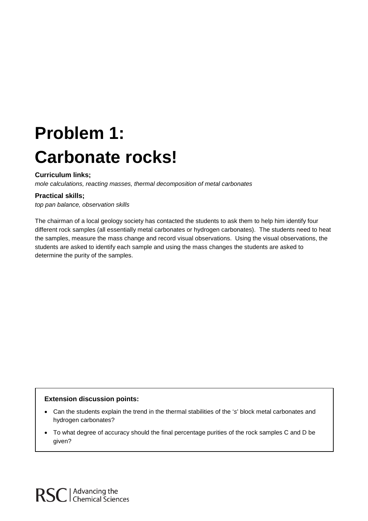# **Problem 1: Carbonate rocks!**

#### **Curriculum links;**

*mole calculations, reacting masses, thermal decomposition of metal carbonates*

#### **Practical skills;**

*top pan balance, observation skills*

The chairman of a local geology society has contacted the students to ask them to help him identify four different rock samples (all essentially metal carbonates or hydrogen carbonates). The students need to heat the samples, measure the mass change and record visual observations. Using the visual observations, the students are asked to identify each sample and using the mass changes the students are asked to determine the purity of the samples.

#### **Extension discussion points:**

- Can the students explain the trend in the thermal stabilities of the '*s*' block metal carbonates and hydrogen carbonates?
- To what degree of accuracy should the final percentage purities of the rock samples C and D be given?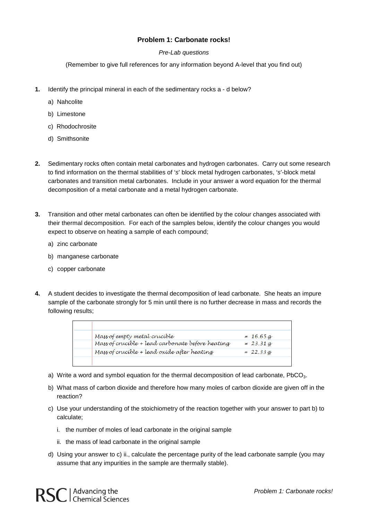#### **Problem 1: Carbonate rocks!**

#### *Pre-Lab questions*

(Remember to give full references for any information beyond A-level that you find out)

- **1.** Identify the principal mineral in each of the sedimentary rocks a d below?
	- a) Nahcolite
	- b) Limestone
	- c) Rhodochrosite
	- d) Smithsonite
- **2.** Sedimentary rocks often contain metal carbonates and hydrogen carbonates. Carry out some research to find information on the thermal stabilities of '*s*' block metal hydrogen carbonates, '*s*'-block metal carbonates and transition metal carbonates. Include in your answer a word equation for the thermal decomposition of a metal carbonate and a metal hydrogen carbonate.
- **3.** Transition and other metal carbonates can often be identified by the colour changes associated with their thermal decomposition. For each of the samples below, identify the colour changes you would expect to observe on heating a sample of each compound;
	- a) zinc carbonate
	- b) manganese carbonate
	- c) copper carbonate
- **4.** A student decides to investigate the thermal decomposition of lead carbonate. She heats an impure sample of the carbonate strongly for 5 min until there is no further decrease in mass and records the following results;

| Mass of empty metal crucíble                     | $= 16.65 g$ |
|--------------------------------------------------|-------------|
| Mass of crucible + lead carbonate before heating | $= 23.31 g$ |
| Mass of crucible + lead oxide after heating      | $= 22.33 g$ |
|                                                  |             |

- a) Write a word and symbol equation for the thermal decomposition of lead carbonate, PbCO<sub>3</sub>.
- b) What mass of carbon dioxide and therefore how many moles of carbon dioxide are given off in the reaction?
- c) Use your understanding of the stoichiometry of the reaction together with your answer to part b) to calculate;
	- i. the number of moles of lead carbonate in the original sample
	- ii. the mass of lead carbonate in the original sample
- d) Using your answer to c) ii., calculate the percentage purity of the lead carbonate sample (you may assume that any impurities in the sample are thermally stable).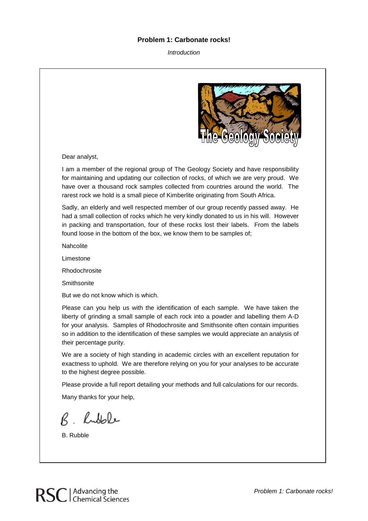#### **Problem 1: Carbonate rocks!**

*Introduction*



Dear analyst,

I am a member of the regional group of The Geology Society and have responsibility for maintaining and updating our collection of rocks, of which we are very proud. We have over a thousand rock samples collected from countries around the world. The rarest rock we hold is a small piece of Kimberlite originating from South Africa.

Sadly, an elderly and well respected member of our group recently passed away. He had a small collection of rocks which he very kindly donated to us in his will. However in packing and transportation, four of these rocks lost their labels. From the labels found loose in the bottom of the box, we know them to be samples of;

**Nahcolite** 

Limestone

Rhodochrosite

**Smithsonite** 

But we do not know which is which.

Please can you help us with the identification of each sample. We have taken the liberty of grinding a small sample of each rock into a powder and labelling them A-D for your analysis. Samples of Rhodochrosite and Smithsonite often contain impurities so in addition to the identification of these samples we would appreciate an analysis of their percentage purity.

We are a society of high standing in academic circles with an excellent reputation for exactness to uphold. We are therefore relying on you for your analyses to be accurate to the highest degree possible.

Please provide a full report detailing your methods and full calculations for our records.

Many thanks for your help,

R hubble

B. Rubble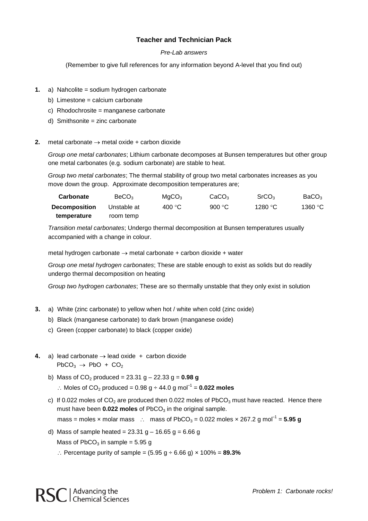#### **Teacher and Technician Pack**

#### *Pre-Lab answers*

(Remember to give full references for any information beyond A-level that you find out)

- **1.** a) Nahcolite = sodium hydrogen carbonate
	- b) Limestone = calcium carbonate
	- c) Rhodochrosite = manganese carbonate
	- d) Smithsonite = zinc carbonate
- **2.** metal carbonate → metal oxide + carbon dioxide

*Group one metal carbonates*; Lithium carbonate decomposes at Bunsen temperatures but other group one metal carbonates (e.g. sodium carbonate) are stable to heat.

*Group two metal carbonates*; The thermal stability of group two metal carbonates increases as you move down the group. Approximate decomposition temperatures are;

| Carbonate            | BeCO <sub>3</sub> | MqCO <sub>3</sub> | CaCO <sub>3</sub> | SrCO <sub>3</sub> | BaCO <sub>3</sub> |
|----------------------|-------------------|-------------------|-------------------|-------------------|-------------------|
| <b>Decomposition</b> | Unstable at       | 400 °C            | 900 $\degree$ C   | 1280 °C           | 1360 $\degree$ C  |
| temperature          | room temp         |                   |                   |                   |                   |

*Transition metal carbonates*; Undergo thermal decomposition at Bunsen temperatures usually accompanied with a change in colour.

metal hydrogen carbonate → metal carbonate + carbon dioxide + water

*Group one metal hydrogen carbonates*; These are stable enough to exist as solids but do readily undergo thermal decomposition on heating

*Group two hydrogen carbonates*; These are so thermally unstable that they only exist in solution

- **3.** a) White (zinc carbonate) to yellow when hot / white when cold (zinc oxide)
	- b) Black (manganese carbonate) to dark brown (manganese oxide)
	- c) Green (copper carbonate) to black (copper oxide)
- **4.** a) lead carbonate → lead oxide + carbon dioxide  $PbCO<sub>3</sub> \rightarrow PbO + CO<sub>2</sub>$ 
	- b) Mass of  $CO_2$  produced = 23.31 g 22.33 g =  $0.98$  g ∴ Moles of  $CO<sub>2</sub>$  produced = 0.98 g  $\div$  44.0 g mol<sup>-1</sup> = **0.022 moles**
	- c) If 0.022 moles of  $CO<sub>2</sub>$  are produced then 0.022 moles of PbCO<sub>3</sub> must have reacted. Hence there must have been **0.022 moles** of PbCO<sub>3</sub> in the original sample.

mass = moles × molar mass  $\therefore$  mass of PbCO<sub>3</sub> = 0.022 moles × 267.2 g mol<sup>-1</sup> = **5.95 g** 

d) Mass of sample heated =  $23.31$  g –  $16.65$  g =  $6.66$  g

Mass of  $PbCO<sub>3</sub>$  in sample = 5.95 g

∴ Percentage purity of sample = (5.95 g ÷ 6.66 g) × 100% = **89.3%**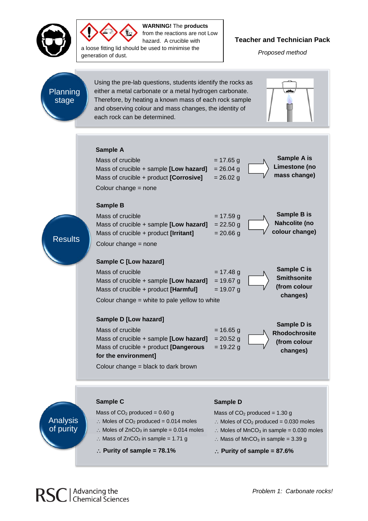



**WARNING!** The **products** from the reactions are not Low hazard. A crucible with

a loose fitting lid should be used to minimise the generation of dust.

#### **Teacher and Technician Pack**

*Proposed method*

## Planning stage

Resul

Using the pre-lab questions, students identify the rocks as either a metal carbonate or a metal hydrogen carbonate. Therefore, by heating a known mass of each rock sample and observing colour and mass changes, the identity of each rock can be determined.



|    | Sample A<br>Mass of crucible<br>Mass of crucible + sample [Low hazard]<br>Mass of crucible + product [Corrosive]<br>Colour change $=$ none                                                   | $= 17.65$ g<br>$= 26.04$ g<br>$= 26.02$ g | Sample A is<br>Limestone (no<br>mass change)                    |
|----|----------------------------------------------------------------------------------------------------------------------------------------------------------------------------------------------|-------------------------------------------|-----------------------------------------------------------------|
| ts | <b>Sample B</b><br>Mass of crucible<br>Mass of crucible + sample [Low hazard]<br>Mass of crucible + product [Irritant]<br>Colour change $=$ none                                             | $= 17.59$ g<br>$= 22.50$ g<br>$= 20.66$ g | Sample B is<br>Nahcolite (no<br>colour change)                  |
|    | Sample C [Low hazard]<br>Mass of crucible<br>Mass of crucible + sample [Low hazard]<br>Mass of crucible + product [Harmful]<br>Colour change = white to pale yellow to white                 | $= 17.48$ g<br>$= 19.67$ g<br>$= 19.07$ g | Sample C is<br><b>Smithsonite</b><br>(from colour<br>changes)   |
|    | Sample D [Low hazard]<br>Mass of crucible<br>Mass of crucible + sample [Low hazard]<br>Mass of crucible + product [Dangerous]<br>for the environment]<br>Colour change = black to dark brown | $= 16.65$ g<br>$= 20.52$ g<br>$= 19.22 g$ | Sample D is<br><b>Rhodochrosite</b><br>(from colour<br>changes) |
|    |                                                                                                                                                                                              |                                           |                                                                 |
|    |                                                                                                                                                                                              |                                           |                                                                 |
|    | Sample C                                                                                                                                                                                     |                                           |                                                                 |
|    |                                                                                                                                                                                              | Sample D                                  |                                                                 |
|    | Mass of $CO2$ produced = 0.60 g                                                                                                                                                              | Mass of $CO2$ produced = 1.30 g           |                                                                 |

Analysis of purity

- 
- ∴ Moles of  $CO<sub>2</sub>$  produced = 0.014 moles
- ∴ Moles of  $ZnCO<sub>3</sub>$  in sample = 0.014 moles
- ∴ Mass of ZnCO<sub>3</sub> in sample = 1.71 g
- ∴ **Purity of sample = 78.1%**

- ∴ Moles of  $CO<sub>2</sub>$  produced = 0.030 moles
- ∴ Moles of MnCO<sub>3</sub> in sample = 0.030 moles
- ∴ Mass of MnCO<sub>3</sub> in sample =  $3.39$  g
- ∴ **Purity of sample = 87.6%**